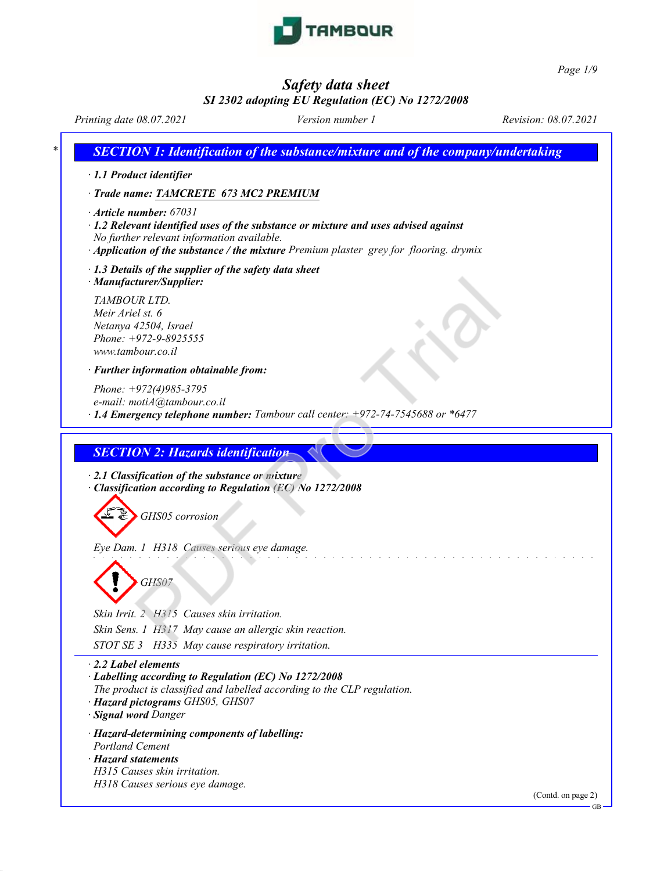

*Page 1/9*

# *Safety data sheet*

# *SI 2302 adopting EU Regulation (EC) No 1272/2008*

*Printing date 08.07.2021 Version number 1 Revision: 08.07.2021 \* SECTION 1: Identification of the substance/mixture and of the company/undertaking · 1.1 Product identifier · Trade name: TAMCRETE 673 MC2 PREMIUM · Article number: 67031 · 1.2 Relevant identified uses of the substance or mixture and uses advised against No further relevant information available. · Application of the substance / the mixture Premium plaster grey for flooring. drymix · 1.3 Details of the supplier of the safety data sheet · Manufacturer/Supplier: TAMBOUR LTD. Meir Ariel st. 6 Netanya 42504, Israel Phone: +972-9-8925555 <www.tambour.co.il> · Further information obtainable from: Phone: +972(4)985-3795 e-mail: motiA@tambour.co.il · 1.4 Emergency telephone number: Tambour call center: +972-74-7545688 or \*6477 SECTION 2: Hazards identification · 2.1 Classification of the substance or mixture · Classification according to Regulation (EC) No 1272/2008 GHS05 corrosion Eye Dam. 1 H318 Causes serious eye damage. GHS07 Skin Irrit. 2 H315 Causes skin irritation. Skin Sens. 1 H317 May cause an allergic skin reaction. STOT SE 3 H335 May cause respiratory irritation. · 2.2 Label elements · Labelling according to Regulation (EC) No 1272/2008 The product is classified and labelled according to the CLP regulation. · Hazard pictograms GHS05, GHS07 · Signal word Danger · Hazard-determining components of labelling: Portland Cement · Hazard statements H315 Causes skin irritation. H318 Causes serious eye damage.* (Contd. on page 2) GB turer/Supplier:<br>
TR LTD.<br>
21 st. 6<br>
42504, Israel<br>
42504, Israel<br>
42504, Israel<br>
1722-9-8925555<br>
bour.co.il<br>
972-9-8925555<br>
total@tambour.co.il<br>
972-(4)985-3795<br>
total@tambour.co.il<br>
992-(4)985-3795<br>
only all control contr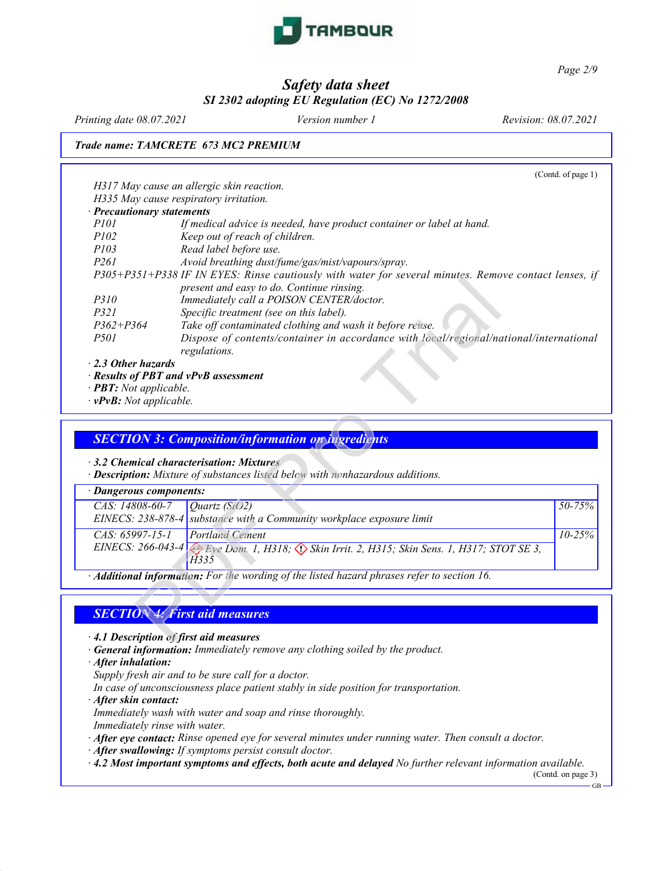

*Page 2/9*

# *Safety data sheet SI 2302 adopting EU Regulation (EC) No 1272/2008*

*Printing date 08.07.2021 Version number 1 Revision: 08.07.2021*

*Trade name: TAMCRETE 673 MC2 PREMIUM*

|                                       |                                                                                                       | (Contd. of page 1) |
|---------------------------------------|-------------------------------------------------------------------------------------------------------|--------------------|
|                                       | H317 May cause an allergic skin reaction.                                                             |                    |
|                                       | H335 May cause respiratory irritation.                                                                |                    |
| <b>Precautionary statements</b>       |                                                                                                       |                    |
| P101                                  | If medical advice is needed, have product container or label at hand.                                 |                    |
| <i>P102</i>                           | Keep out of reach of children.                                                                        |                    |
| P103                                  | Read label before use.                                                                                |                    |
| P <sub>261</sub>                      | Avoid breathing dust/fume/gas/mist/vapours/spray.                                                     |                    |
|                                       | P305+P351+P338 IF IN EYES: Rinse cautiously with water for several minutes. Remove contact lenses, if |                    |
|                                       | present and easy to do. Continue rinsing.                                                             |                    |
| <i>P310</i>                           | Immediately call a POISON CENTER/doctor.                                                              |                    |
| P321                                  | Specific treatment (see on this label).                                                               |                    |
| $P362 + P364$                         | Take off contaminated clothing and wash it before reuse.                                              |                    |
| <i>P501</i>                           | Dispose of contents/container in accordance with local/regional/national/international                |                    |
|                                       | regulations.                                                                                          |                    |
| ⋅ 2.3 Other hazards                   |                                                                                                       |                    |
| · Results of PBT and vPvB assessment  |                                                                                                       |                    |
| · <b>PBT:</b> Not applicable.         |                                                                                                       |                    |
| $\cdot$ vPvB: Not applicable.         |                                                                                                       |                    |
|                                       |                                                                                                       |                    |
|                                       |                                                                                                       |                    |
|                                       | <b>SECTION 3: Composition/information on ingredients</b>                                              |                    |
|                                       |                                                                                                       |                    |
|                                       | 3.2 Chemical characterisation: Mixtures                                                               |                    |
|                                       | <b>Description:</b> Mixture of substances listed below with nonhazardous additions.                   |                    |
| <b>Dangerous components:</b>          |                                                                                                       |                    |
| CAS: 14808-60-7                       | Quartz (SiO2)                                                                                         | 50-75%             |
|                                       | EINECS: $238-878-4$ substance with a Community workplace exposure limit                               |                    |
| $CAS. 65997-15-1$                     | <b>Portland Cement</b>                                                                                | $10 - 25%$         |
|                                       | EINECS: 266-043-4 Eye Dam. 1, H318; Skin Irrit. 2, H315; Skin Sens. 1, H317; STOT SE 3,               |                    |
|                                       | H335                                                                                                  |                    |
|                                       | Additional information: For the wording of the listed hazard phrases refer to section 16.             |                    |
|                                       |                                                                                                       |                    |
|                                       | <b>SECTION 4: First aid measures</b>                                                                  |                    |
|                                       |                                                                                                       |                    |
| 4.1 Description of first aid measures |                                                                                                       |                    |

## *SECTION 3: Composition/information on ingredients*

| · Dangerous components:                      |                                                                                         |             |  |
|----------------------------------------------|-----------------------------------------------------------------------------------------|-------------|--|
| <i>CAS</i> : 14808-60-7 <i>Quartz</i> (SiO2) |                                                                                         | $50 - 75\%$ |  |
|                                              | EINECS: $238-878-4$ substance with a Community workplace exposure limit                 |             |  |
| $CAS: 65997-15-1$ Portland Cement            |                                                                                         | $10 - 25\%$ |  |
|                                              | EINECS: 266-043-4 Eye Dam. 1, H318; Skin Irrit. 2, H315; Skin Sens. 1, H317; STOT SE 3, |             |  |
|                                              | H335                                                                                    |             |  |

# *SECTION 4: First aid measures*

*· General information: Immediately remove any clothing soiled by the product.*

*· After inhalation:*

*Supply fresh air and to be sure call for a doctor.*

*In case of unconsciousness place patient stably in side position for transportation.*

*· After skin contact:*

*Immediately wash with water and soap and rinse thoroughly.*

*Immediately rinse with water.*

*· After eye contact: Rinse opened eye for several minutes under running water. Then consult a doctor.*

*· After swallowing: If symptoms persist consult doctor.*

*· 4.2 Most important symptoms and effects, both acute and delayed No further relevant information available.* (Contd. on page 3)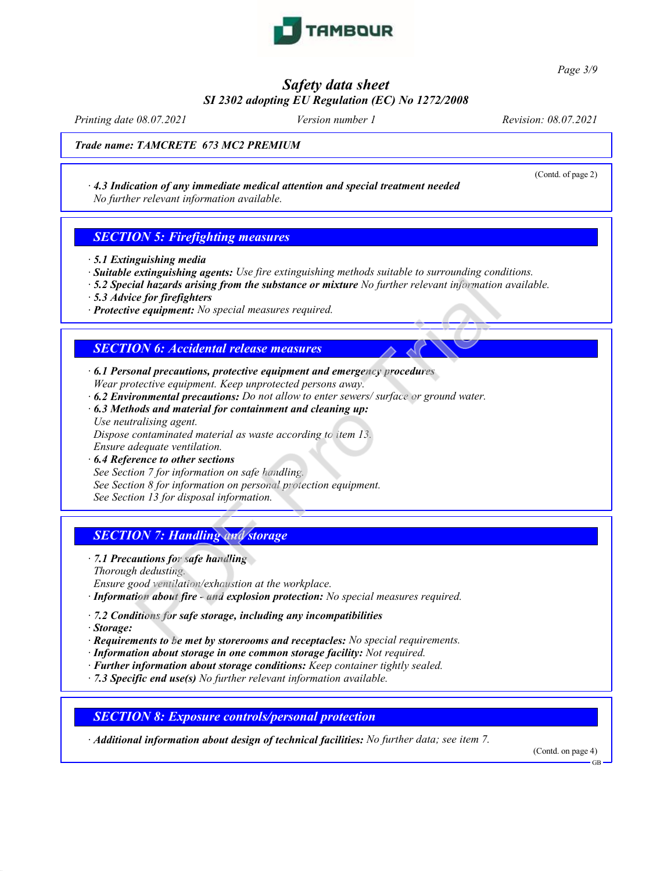

*Page 3/9*

*Safety data sheet*

# *SI 2302 adopting EU Regulation (EC) No 1272/2008*

*Printing date 08.07.2021 Version number 1 Revision: 08.07.2021*

(Contd. of page 2)

*Trade name: TAMCRETE 673 MC2 PREMIUM*

*· 4.3 Indication of any immediate medical attention and special treatment needed No further relevant information available.*

## *SECTION 5: Firefighting measures*

- *· 5.1 Extinguishing media*
- *· Suitable extinguishing agents: Use fire extinguishing methods suitable to surrounding conditions.*
- *· 5.2 Special hazards arising from the substance or mixture No further relevant information available.*
- *· 5.3 Advice for firefighters*
- *· Protective equipment: No special measures required.*

## *SECTION 6: Accidental release measures*

- *· 6.1 Personal precautions, protective equipment and emergency procedures Wear protective equipment. Keep unprotected persons away.*
- *· 6.2 Environmental precautions: Do not allow to enter sewers/ surface or ground water.*
- *· 6.3 Methods and material for containment and cleaning up: Use neutralising agent. Dispose contaminated material as waste according to item 13. Ensure adequate ventilation.* and hazards arising from the substance or mixture No further relevant information<br>the form free fighters of the substance or mixture No further relevant information<br>equipment: No special measures required.<br>
<br> **ON 6:** Accid
- *· 6.4 Reference to other sections See Section 7 for information on safe handling. See Section 8 for information on personal protection equipment. See Section 13 for disposal information.*

# *SECTION 7: Handling and storage*

- *· 7.1 Precautions for safe handling Thorough dedusting.*
- *Ensure good ventilation/exhaustion at the workplace.*
- *· Information about fire - and explosion protection: No special measures required.*
- *· 7.2 Conditions for safe storage, including any incompatibilities*
- *· Storage:*
- *· Requirements to be met by storerooms and receptacles: No special requirements.*
- *· Information about storage in one common storage facility: Not required.*
- *· Further information about storage conditions: Keep container tightly sealed.*
- *· 7.3 Specific end use(s) No further relevant information available.*

#### *SECTION 8: Exposure controls/personal protection*

*· Additional information about design of technical facilities: No further data; see item 7.*

(Contd. on page 4)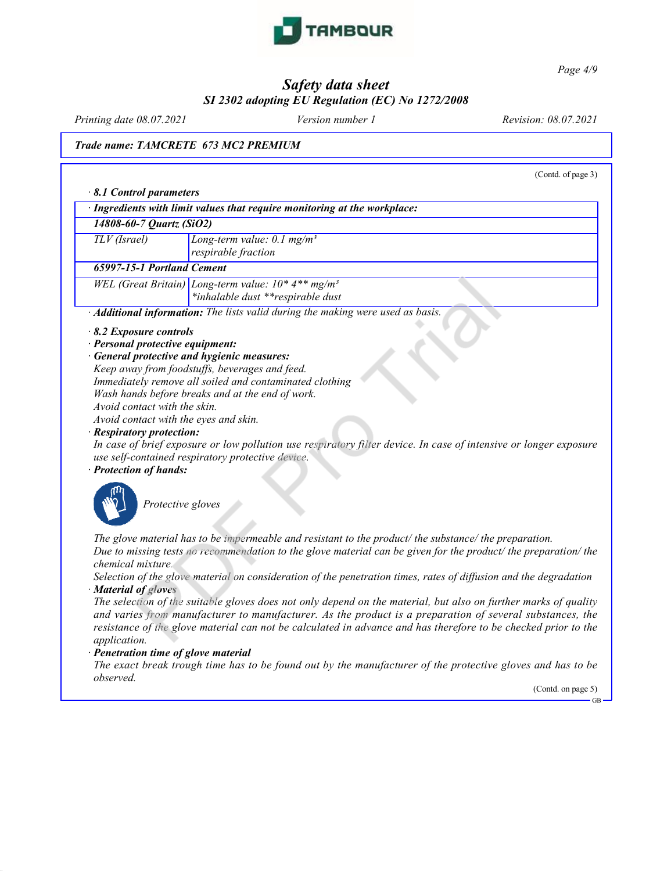

*Page 4/9*

## *Safety data sheet SI 2302 adopting EU Regulation (EC) No 1272/2008*

*Printing date 08.07.2021 Version number 1 Revision: 08.07.2021*

#### *Trade name: TAMCRETE 673 MC2 PREMIUM*

(Contd. of page 3) *· 8.1 Control parameters · Ingredients with limit values that require monitoring at the workplace: 14808-60-7 Quartz (SiO2) TLV (Israel) Long-term value: 0.1 mg/m³ respirable fraction 65997-15-1 Portland Cement WEL (Great Britain) Long-term value: 10\* 4\*\* mg/m³ \*inhalable dust \*\*respirable dust · Additional information: The lists valid during the making were used as basis. · 8.2 Exposure controls · Personal protective equipment: · General protective and hygienic measures: Keep away from foodstuffs, beverages and feed. Immediately remove all soiled and contaminated clothing Wash hands before breaks and at the end of work. Avoid contact with the skin. Avoid contact with the eyes and skin. · Respiratory protection:* In case of brief exposure or low pollution use respiratory filter device. In case of intensive or longer exposure *use self-contained respiratory protective device. · Protection of hands:* eat Britain) Long-term value:  $10*4**$  mg/m<sup>3</sup><br>
al information: The lists valid during the making were used as basis.<br> **al information:** The lists valid during the making were used as basis.<br> **procective equipment:**<br> **proc** 



*Protective gloves*

*The glove material has to be impermeable and resistant to the product/ the substance/ the preparation.* Due to missing tests no recommendation to the glove material can be given for the product/ the preparation/ the *chemical mixture.*

Selection of the glove material on consideration of the penetration times, rates of diffusion and the degradation *· Material of gloves*

The selection of the suitable gloves does not only depend on the material, but also on further marks of quality *and varies from manufacturer to manufacturer. As the product is a preparation of several substances, the* resistance of the glove material can not be calculated in advance and has therefore to be checked prior to the *application.*

#### *· Penetration time of glove material*

The exact break trough time has to be found out by the manufacturer of the protective gloves and has to be *observed.*

(Contd. on page 5)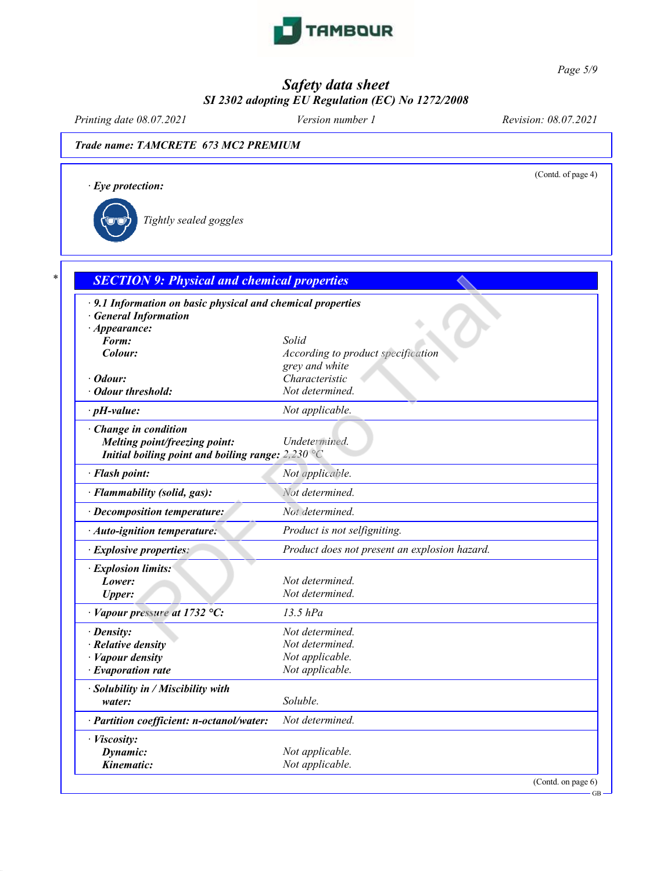

*Page 5/9*

## *Safety data sheet SI 2302 adopting EU Regulation (EC) No 1272/2008*

*Printing date 08.07.2021 Version number 1 Revision: 08.07.2021*

(Contd. of page 4)

## *Trade name: TAMCRETE 673 MC2 PREMIUM*

*· Eye protection:*

*Tightly sealed goggles*

| · 9.1 Information on basic physical and chemical properties<br><b>General Information</b> |                                               |
|-------------------------------------------------------------------------------------------|-----------------------------------------------|
| $\cdot$ Appearance:                                                                       |                                               |
| Form:                                                                                     | Solid                                         |
| Colour:                                                                                   | According to product specification            |
|                                                                                           | grey and white                                |
| $\cdot$ Odour:                                                                            | Characteristic                                |
| · Odour threshold:                                                                        | Not determined.                               |
| $\cdot$ pH-value:                                                                         | Not applicable.                               |
| · Change in condition                                                                     |                                               |
| Melting point/freezing point:                                                             | Undetermined.                                 |
| Initial boiling point and boiling range: $2,230^{\circ}$ C                                |                                               |
| · Flash point:                                                                            | Not applicable.                               |
| · Flammability (solid, gas):                                                              | Not determined.                               |
| · Decomposition temperature:                                                              | Not determined.                               |
| · Auto-ignition temperature:                                                              | Product is not selfigniting.                  |
| <i>Explosive properties:</i>                                                              | Product does not present an explosion hazard. |
| · Explosion limits:                                                                       |                                               |
| Lower:                                                                                    | Not determined.                               |
| <b>Upper:</b>                                                                             | Not determined.                               |
| · Vapour pressure at 1732 °C:                                                             | $13.5$ $hPa$                                  |
| $\cdot$ Density:                                                                          | Not determined.                               |
| $\cdot$ Relative density                                                                  | Not determined.                               |
| · Vapour density                                                                          | Not applicable.                               |
| $\cdot$ Evaporation rate                                                                  | Not applicable.                               |
| · Solubility in / Miscibility with                                                        |                                               |
| water:                                                                                    | Soluble.                                      |
| · Partition coefficient: n-octanol/water:                                                 | Not determined.                               |
| · Viscosity:                                                                              |                                               |
| Dynamic:                                                                                  | Not applicable.                               |
| Kinematic:                                                                                | Not applicable.                               |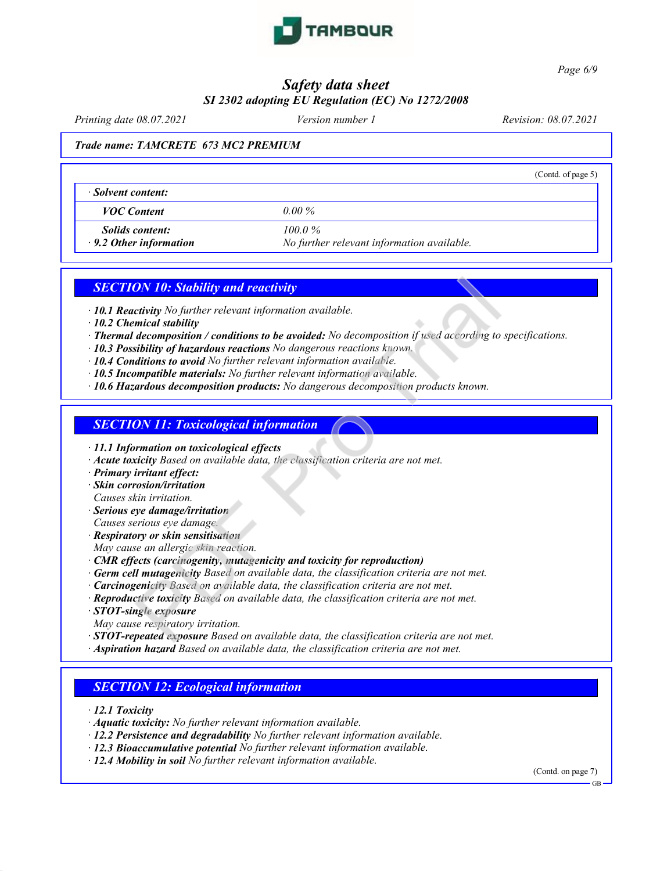

*Page 6/9*

## *Safety data sheet SI 2302 adopting EU Regulation (EC) No 1272/2008*

*Printing date 08.07.2021 Version number 1 Revision: 08.07.2021*

#### *Trade name: TAMCRETE 673 MC2 PREMIUM*

|                               |                                            | (Contd. of page 5) |
|-------------------------------|--------------------------------------------|--------------------|
| Solvent content:              |                                            |                    |
| <b>VOC</b> Content            | $0.00\%$                                   |                    |
| <i>Solids content:</i>        | 100 0 $\%$                                 |                    |
| $\cdot$ 9.2 Other information | No further relevant information available. |                    |

## *SECTION 10: Stability and reactivity*

- *· 10.1 Reactivity No further relevant information available.*
- *· 10.2 Chemical stability*
- *· Thermal decomposition / conditions to be avoided: No decomposition if used according to specifications.*
- *· 10.3 Possibility of hazardous reactions No dangerous reactions known.*
- *· 10.4 Conditions to avoid No further relevant information available.*
- *· 10.5 Incompatible materials: No further relevant information available.*
- *· 10.6 Hazardous decomposition products: No dangerous decomposition products known.*

#### *SECTION 11: Toxicological information*

- *· 11.1 Information on toxicological effects*
- *· Acute toxicity Based on available data, the classification criteria are not met.*
- *· Primary irritant effect:*
- *· Skin corrosion/irritation Causes skin irritation.*
- *· Serious eye damage/irritation Causes serious eye damage.*
- *· Respiratory or skin sensitisation*
- *May cause an allergic skin reaction.*
- *· CMR effects (carcinogenity, mutagenicity and toxicity for reproduction)*
- *· Germ cell mutagenicity Based on available data, the classification criteria are not met.*
- *· Carcinogenicity Based on available data, the classification criteria are not met.*
- *· Reproductive toxicity Based on available data, the classification criteria are not met.*
- *· STOT-single exposure*
- *May cause respiratory irritation.*
- *· STOT-repeated exposure Based on available data, the classification criteria are not met.* **ON 10: Stability and reactivity**<br>
retivity No further relevant information available.<br>
mical stability<br>
mical stability / conditions to be avoided: No decomposition if used according to<br>
decomposition / conditions No dang
- *· Aspiration hazard Based on available data, the classification criteria are not met.*

## *SECTION 12: Ecological information*

- *· 12.1 Toxicity*
- *· Aquatic toxicity: No further relevant information available.*
- *· 12.2 Persistence and degradability No further relevant information available.*
- *· 12.3 Bioaccumulative potential No further relevant information available.*
- *· 12.4 Mobility in soil No further relevant information available.*

(Contd. on page 7)

GB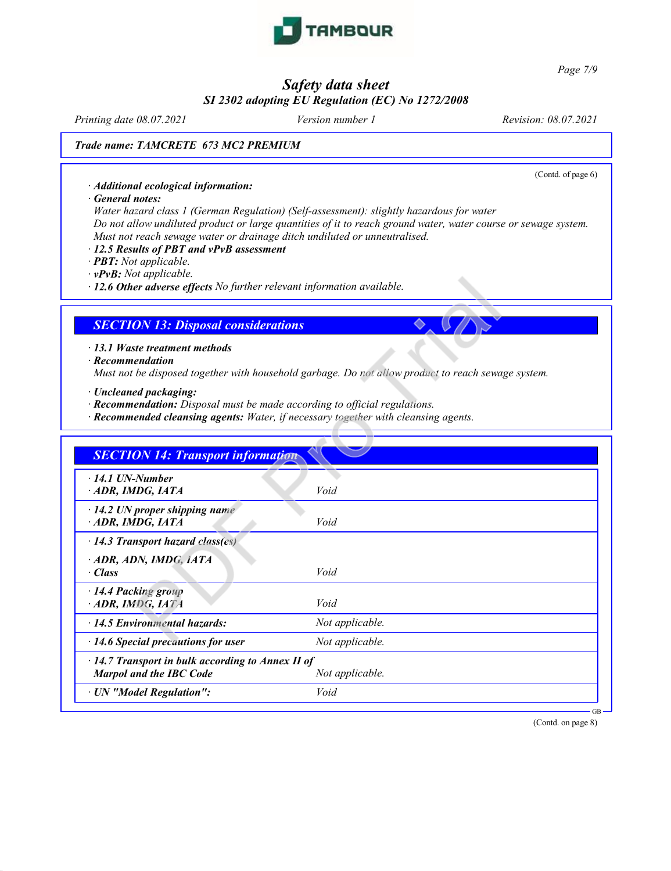

*Page 7/9*

# *Safety data sheet SI 2302 adopting EU Regulation (EC) No 1272/2008*

*Printing date 08.07.2021 Version number 1 Revision: 08.07.2021*

(Contd. of page 6)

### *Trade name: TAMCRETE 673 MC2 PREMIUM*

*· Additional ecological information:*

*· General notes:*

*Water hazard class 1 (German Regulation) (Self-assessment): slightly hazardous for water* Do not allow undiluted product or large quantities of it to reach ground water, water course or sewage system. *Must not reach sewage water or drainage ditch undiluted or unneutralised.*

- *· 12.5 Results of PBT and vPvB assessment*
- *· PBT: Not applicable.*
- *· vPvB: Not applicable.*

## *SECTION 13: Disposal considerations*

- *· Recommendation Must not be disposed together with household garbage. Do not allow product to reach sewage system.*
- *· Uncleaned packaging:*
- *· Recommendation: Disposal must be made according to official regulations.*
- *· Recommended cleansing agents: Water, if necessary together with cleansing agents.*

| <b>SECTION 13: Disposal considerations</b>                                                                        |                                                                                                    |
|-------------------------------------------------------------------------------------------------------------------|----------------------------------------------------------------------------------------------------|
| $-13.1$ Waste treatment methods<br>$\cdot$ Recommendation                                                         | Must not be disposed together with household garbage. Do not allow product to reach sewage system. |
| · Uncleaned packaging:<br>$\cdot$ <b>Recommendation:</b> Disposal must be made according to official regulations. | · Recommended cleansing agents: Water, if necessary together with cleansing agents.                |
| <b>SECTION 14: Transport information</b>                                                                          |                                                                                                    |
| $\cdot$ 14.1 UN-Number<br>ADR, IMDG, IATA                                                                         | Void                                                                                               |
| · 14.2 UN proper shipping name<br>ADR, IMDG, IATA                                                                 | Void                                                                                               |
| $\cdot$ 14.3 Transport hazard class(es)                                                                           |                                                                                                    |
| · ADR, ADN, IMDG, IATA<br>· Class                                                                                 | Void                                                                                               |
| · 14.4 Packing group<br>ADR, IMDG, IATA                                                                           | Void                                                                                               |
| · 14.5 Environmental hazards:                                                                                     | Not applicable.                                                                                    |
| $\cdot$ 14.6 Special precautions for user                                                                         | Not applicable.                                                                                    |
| $\cdot$ 14.7 Transport in bulk according to Annex II of<br><b>Marpol and the IBC Code</b>                         | Not applicable.                                                                                    |
| · UN "Model Regulation":                                                                                          | Void                                                                                               |

(Contd. on page 8)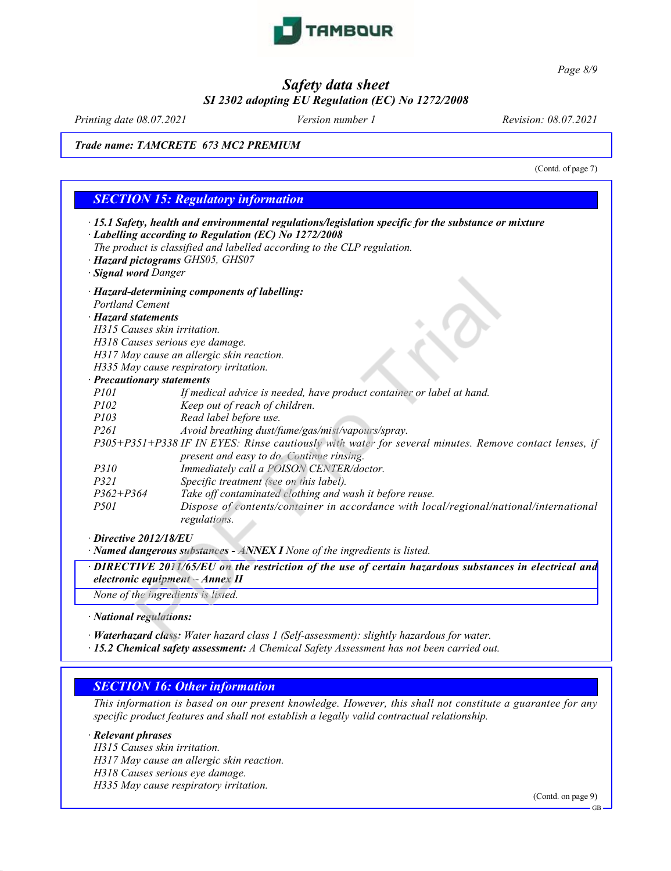

*Page 8/9*

# *Safety data sheet SI 2302 adopting EU Regulation (EC) No 1272/2008*

*Printing date 08.07.2021 Version number 1 Revision: 08.07.2021*

#### *Trade name: TAMCRETE 673 MC2 PREMIUM*

|                              | (Contd. of page 7)<br><b>SECTION 15: Regulatory information</b>                                                                                                                                                                                                               |
|------------------------------|-------------------------------------------------------------------------------------------------------------------------------------------------------------------------------------------------------------------------------------------------------------------------------|
| · Signal word Danger         | · 15.1 Safety, health and environmental regulations/legislation specific for the substance or mixture<br>· Labelling according to Regulation (EC) No 1272/2008<br>The product is classified and labelled according to the CLP regulation.<br>· Hazard pictograms GHS05, GHS07 |
|                              | · Hazard-determining components of labelling:                                                                                                                                                                                                                                 |
| <b>Portland Cement</b>       |                                                                                                                                                                                                                                                                               |
| · Hazard statements          |                                                                                                                                                                                                                                                                               |
| H315 Causes skin irritation. |                                                                                                                                                                                                                                                                               |
|                              | H318 Causes serious eye damage.                                                                                                                                                                                                                                               |
|                              | H317 May cause an allergic skin reaction.                                                                                                                                                                                                                                     |
|                              | H335 May cause respiratory irritation.                                                                                                                                                                                                                                        |
| · Precautionary statements   |                                                                                                                                                                                                                                                                               |
| P101                         | If medical advice is needed, have product container or label at hand.                                                                                                                                                                                                         |
| P102                         | Keep out of reach of children.                                                                                                                                                                                                                                                |
| P103                         | Read label before use.                                                                                                                                                                                                                                                        |
| P <sub>261</sub>             | Avoid breathing dust/fume/gas/mist/vapours/spray.                                                                                                                                                                                                                             |
|                              | P305+P351+P338 IF IN EYES: Rinse cautiously with water for several minutes. Remove contact lenses, if                                                                                                                                                                         |
|                              | present and easy to do. Continue rinsing.                                                                                                                                                                                                                                     |
| <i>P310</i>                  | Immediately call a POISON CENTER/doctor.                                                                                                                                                                                                                                      |
| P321                         | Specific treatment (see on this label).                                                                                                                                                                                                                                       |
| $P362 + P364$                | Take off contaminated clothing and wash it before reuse.                                                                                                                                                                                                                      |
| <i>P501</i>                  | Dispose of contents/container in accordance with local/regional/national/international<br>regulations.                                                                                                                                                                        |
| $\cdot$ Directive 2012/18/EU |                                                                                                                                                                                                                                                                               |
|                              | · Named dangerous substances - ANNEX I None of the ingredients is listed.                                                                                                                                                                                                     |
|                              | · DIRECTIVE 2011/65/EU on the restriction of the use of certain hazardous substances in electrical and<br>electronic equipment $-A$ nnex II                                                                                                                                   |
|                              | None of the ingredients is listed.                                                                                                                                                                                                                                            |
| · National regulations:      |                                                                                                                                                                                                                                                                               |
|                              |                                                                                                                                                                                                                                                                               |
|                              | · Waterhazard class: Water hazard class 1 (Self-assessment): slightly hazardous for water.                                                                                                                                                                                    |

*· 15.2 Chemical safety assessment: A Chemical Safety Assessment has not been carried out.*

### *SECTION 16: Other information*

This information is based on our present knowledge. However, this shall not constitute a guarantee for any *specific product features and shall not establish a legally valid contractual relationship.*

#### *· Relevant phrases*

*H315 Causes skin irritation.*

*H317 May cause an allergic skin reaction.*

*H318 Causes serious eye damage.*

*H335 May cause respiratory irritation.*

(Contd. on page 9)

GB